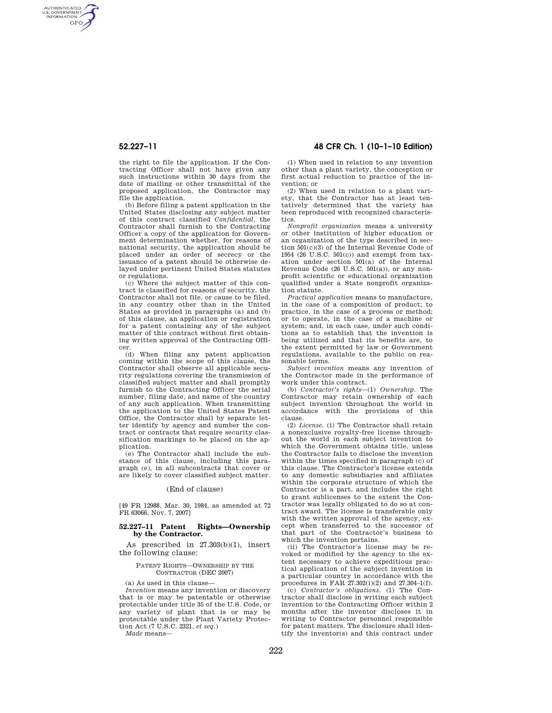AUTHENTICATED<br>U.S. GOVERNMENT<br>INFORMATION **GPO** 

> the right to file the application. If the Contracting Officer shall not have given any such instructions within 30 days from the date of mailing or other transmittal of the proposed application, the Contractor may file the application.

> (b) Before filing a patent application in the United States disclosing any subject matter of this contract classified *Confidential,* the Contractor shall furnish to the Contracting Officer a copy of the application for Government determination whether, for reasons of national security, the application should be placed under an order of secrecy or the issuance of a patent should be otherwise delayed under pertinent United States statutes or regulations.

> (c) Where the subject matter of this contract is classified for reasons of security, the Contractor shall not file, or cause to be filed, in any country other than in the United States as provided in paragraphs (a) and (b) of this clause, an application or registration for a patent containing any of the subject matter of this contract without first obtaining written approval of the Contracting Officer.

> (d) When filing any patent application coming within the scope of this clause, the Contractor shall observe all applicable security regulations covering the transmission of classified subject matter and shall promptly furnish to the Contracting Officer the serial number, filing date, and name of the country of any such application. When transmitting the application to the United States Patent Office, the Contractor shall by separate letter identify by agency and number the contract or contracts that require security classification markings to be placed on the application.

> (e) The Contractor shall include the substance of this clause, including this paragraph (e), in all subcontracts that cover or are likely to cover classified subject matter.

#### (End of clause)

[49 FR 12988, Mar. 30, 1984, as amended at 72 FR 63066, Nov. 7, 2007]

#### **52.227–11 Patent Rights—Ownership by the Contractor.**

As prescribed in 27.303(b)(1), insert the following clause:

### PATENT RIGHTS—OWNERSHIP BY THE CONTRACTOR (DEC 2007)

(a) As used in this clause—

*Invention* means any invention or discovery that is or may be patentable or otherwise protectable under title 35 of the U.S. Code, or any variety of plant that is or may be protectable under the Plant Variety Protection Act (7 U.S.C. 2321, *et seq.*)

*Made* means—

# **52.227–11 48 CFR Ch. 1 (10–1–10 Edition)**

(1) When used in relation to any invention other than a plant variety, the conception or first actual reduction to practice of the invention; or

(2) When used in relation to a plant variety, that the Contractor has at least tentatively determined that the variety has been reproduced with recognized characteristics.

*Nonprofit organization* means a university or other institution of higher education or an organization of the type described in section 501(c)(3) of the Internal Revenue Code of 1954 (26 U.S.C. 501(c)) and exempt from taxation under section 501(a) of the Internal Revenue Code (26 U.S.C. 501(a)), or any nonprofit scientific or educational organization qualified under a State nonprofit organization statute.

*Practical application* means to manufacture, in the case of a composition of product; to practice, in the case of a process or method; or to operate, in the case of a machine or system; and, in each case, under such conditions as to establish that the invention is being utilized and that its benefits are, to the extent permitted by law or Government regulations, available to the public on reasonable terms.

*Subject invention* means any invention of the Contractor made in the performance of work under this contract.

(b) *Contractor's rights*—(1) *Ownership*. The Contractor may retain ownership of each subject invention throughout the world in accordance with the provisions of this clause.

(2) *License*. (i) The Contractor shall retain a nonexclusive royalty-free license throughout the world in each subject invention to which the Government obtains title, unless the Contractor fails to disclose the invention within the times specified in paragraph (c) of this clause. The Contractor's license extends to any domestic subsidiaries and affiliates within the corporate structure of which the Contractor is a part, and includes the right to grant sublicenses to the extent the Contractor was legally obligated to do so at contract award. The license is transferable only with the written approval of the agency, except when transferred to the successor of that part of the Contractor's business to which the invention pertains.

(ii) The Contractor's license may be revoked or modified by the agency to the extent necessary to achieve expeditious practical application of the subject invention in a particular country in accordance with the procedures in FAR 27.302(i)(2) and 27.304–1(f).

(c) *Contractor's obligations*. (1) The Contractor shall disclose in writing each subject invention to the Contracting Officer within 2 months after the inventor discloses it in writing to Contractor personnel responsible for patent matters. The disclosure shall identify the inventor(s) and this contract under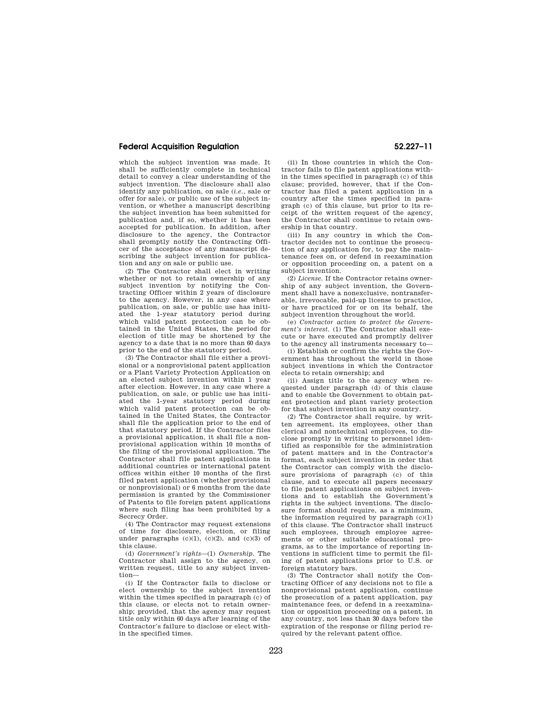## **Federal Acquisition Regulation 52.227–11**

which the subject invention was made. It shall be sufficiently complete in technical detail to convey a clear understanding of the subject invention. The disclosure shall also identify any publication, on sale (*i.e.*, sale or offer for sale), or public use of the subject invention, or whether a manuscript describing the subject invention has been submitted for publication and, if so, whether it has been accepted for publication. In addition, after disclosure to the agency, the Contractor shall promptly notify the Contracting Officer of the acceptance of any manuscript describing the subject invention for publication and any on sale or public use.

(2) The Contractor shall elect in writing whether or not to retain ownership of any subject invention by notifying the Contracting Officer within 2 years of disclosure to the agency. However, in any case where publication, on sale, or public use has initiated the 1-year statutory period during which valid patent protection can be obtained in the United States, the period for election of title may be shortened by the agency to a date that is no more than 60 days prior to the end of the statutory period.

(3) The Contractor shall file either a provisional or a nonprovisional patent application or a Plant Variety Protection Application on an elected subject invention within 1 year after election. However, in any case where a publication, on sale, or public use has initiated the 1-year statutory period during which valid patent protection can be obtained in the United States, the Contractor shall file the application prior to the end of that statutory period. If the Contractor files a provisional application, it shall file a nonprovisional application within 10 months of the filing of the provisional application. The Contractor shall file patent applications in additional countries or international patent offices within either 10 months of the first filed patent application (whether provisional or nonprovisional) or 6 months from the date permission is granted by the Commissioner of Patents to file foreign patent applications where such filing has been prohibited by a Secrecy Order.

(4) The Contractor may request extensions of time for disclosure, election, or filing under paragraphs  $(c)(1)$ ,  $(c)(2)$ , and  $(c)(3)$  of this clause.

(d) *Government's rights*—(1) *Ownership*. The Contractor shall assign to the agency, on written request, title to any subject invention—

(i) If the Contractor fails to disclose or elect ownership to the subject invention within the times specified in paragraph (c) of this clause, or elects not to retain ownership; provided, that the agency may request title only within 60 days after learning of the Contractor's failure to disclose or elect within the specified times.

(ii) In those countries in which the Contractor fails to file patent applications within the times specified in paragraph (c) of this clause; provided, however, that if the Contractor has filed a patent application in a country after the times specified in paragraph (c) of this clause, but prior to its receipt of the written request of the agency, the Contractor shall continue to retain ownership in that country.

(iii) In any country in which the Contractor decides not to continue the prosecution of any application for, to pay the maintenance fees on, or defend in reexamination or opposition proceeding on, a patent on a subject invention.

(2) *License*. If the Contractor retains ownership of any subject invention, the Government shall have a nonexclusive, nontransferable, irrevocable, paid-up license to practice, or have practiced for or on its behalf, the subject invention throughout the world.

(e) *Contractor action to protect the Government's interest*. (1) The Contractor shall execute or have executed and promptly deliver to the agency all instruments necessary to—

(i) Establish or confirm the rights the Government has throughout the world in those subject inventions in which the Contractor elects to retain ownership; and

(ii) Assign title to the agency when requested under paragraph (d) of this clause and to enable the Government to obtain patent protection and plant variety protection for that subject invention in any country.

(2) The Contractor shall require, by written agreement, its employees, other than clerical and nontechnical employees, to disclose promptly in writing to personnel identified as responsible for the administration of patent matters and in the Contractor's format, each subject invention in order that the Contractor can comply with the disclosure provisions of paragraph (c) of this clause, and to execute all papers necessary to file patent applications on subject inventions and to establish the Government's rights in the subject inventions. The disclosure format should require, as a minimum, the information required by paragraph  $(c)(1)$ of this clause. The Contractor shall instruct such employees, through employee agreements or other suitable educational programs, as to the importance of reporting inventions in sufficient time to permit the filing of patent applications prior to U.S. or foreign statutory bars.

(3) The Contractor shall notify the Contracting Officer of any decisions not to file a nonprovisional patent application, continue the prosecution of a patent application, pay maintenance fees, or defend in a reexamination or opposition proceeding on a patent, in any country, not less than 30 days before the expiration of the response or filing period required by the relevant patent office.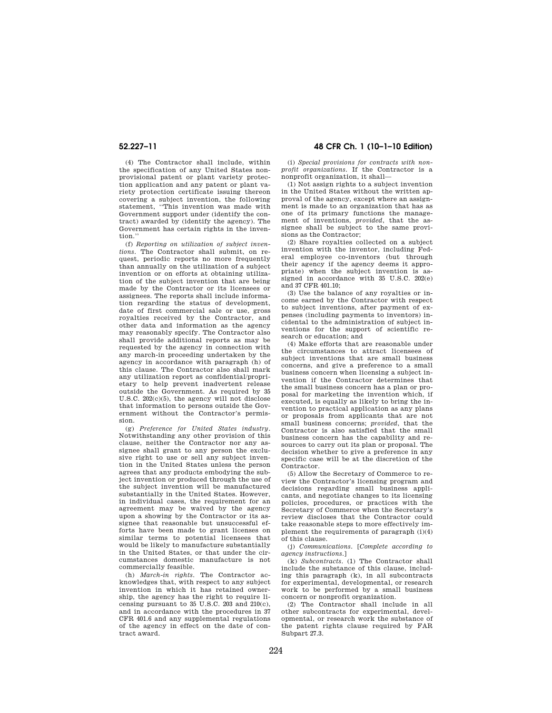(4) The Contractor shall include, within the specification of any United States nonprovisional patent or plant variety protection application and any patent or plant variety protection certificate issuing thereon covering a subject invention, the following statement, ''This invention was made with Government support under (identify the contract) awarded by (identify the agency). The Government has certain rights in the invention.''

(f) *Reporting on utilization of subject inventions*. The Contractor shall submit, on request, periodic reports no more frequently than annually on the utilization of a subject invention or on efforts at obtaining utilization of the subject invention that are being made by the Contractor or its licensees or assignees. The reports shall include information regarding the status of development, date of first commercial sale or use, gross royalties received by the Contractor, and other data and information as the agency may reasonably specify. The Contractor also shall provide additional reports as may be requested by the agency in connection with any march-in proceeding undertaken by the agency in accordance with paragraph (h) of this clause. The Contractor also shall mark any utilization report as confidential/proprietary to help prevent inadvertent release outside the Government. As required by 35 U.S.C. 202(c)(5), the agency will not disclose that information to persons outside the Government without the Contractor's permission.

(g) *Preference for United States industry*. Notwithstanding any other provision of this clause, neither the Contractor nor any assignee shall grant to any person the exclusive right to use or sell any subject invention in the United States unless the person agrees that any products embodying the subject invention or produced through the use of the subject invention will be manufactured substantially in the United States. However, in individual cases, the requirement for an agreement may be waived by the agency upon a showing by the Contractor or its assignee that reasonable but unsuccessful efforts have been made to grant licenses on similar terms to potential licensees that would be likely to manufacture substantially in the United States, or that under the circumstances domestic manufacture is not commercially feasible.

(h) *March-in rights*. The Contractor acknowledges that, with respect to any subject invention in which it has retained ownership, the agency has the right to require licensing pursuant to 35 U.S.C. 203 and 210(c), and in accordance with the procedures in 37 CFR 401.6 and any supplemental regulations of the agency in effect on the date of contract award.

## **52.227–11 48 CFR Ch. 1 (10–1–10 Edition)**

(i) *Special provisions for contracts with nonprofit organizations*. If the Contractor is a nonprofit organization, it shall—

(1) Not assign rights to a subject invention in the United States without the written approval of the agency, except where an assignment is made to an organization that has as one of its primary functions the management of inventions, *provided*, that the assignee shall be subject to the same provisions as the Contractor;

(2) Share royalties collected on a subject invention with the inventor, including Federal employee co-inventors (but through their agency if the agency deems it appropriate) when the subject invention is assigned in accordance with 35 U.S.C. 202(e) and 37 CFR 401.10;

(3) Use the balance of any royalties or income earned by the Contractor with respect to subject inventions, after payment of expenses (including payments to inventors) incidental to the administration of subject inventions for the support of scientific research or education; and

(4) Make efforts that are reasonable under the circumstances to attract licensees of subject inventions that are small business concerns, and give a preference to a small business concern when licensing a subject invention if the Contractor determines that the small business concern has a plan or proposal for marketing the invention which, if executed, is equally as likely to bring the invention to practical application as any plans or proposals from applicants that are not small business concerns; *provided*, that the Contractor is also satisfied that the small business concern has the capability and resources to carry out its plan or proposal. The decision whether to give a preference in any specific case will be at the discretion of the Contractor.

(5) Allow the Secretary of Commerce to review the Contractor's licensing program and decisions regarding small business applicants, and negotiate changes to its licensing policies, procedures, or practices with the Secretary of Commerce when the Secretary's review discloses that the Contractor could take reasonable steps to more effectively implement the requirements of paragraph (i)(4) of this clause.

(j) *Communications*. [*Complete according to agency instructions.*]

(k) *Subcontracts*. (1) The Contractor shall include the substance of this clause, including this paragraph (k), in all subcontracts for experimental, developmental, or research work to be performed by a small business concern or nonprofit organization.

(2) The Contractor shall include in all other subcontracts for experimental, developmental, or research work the substance of the patent rights clause required by FAR Subpart 27.3.